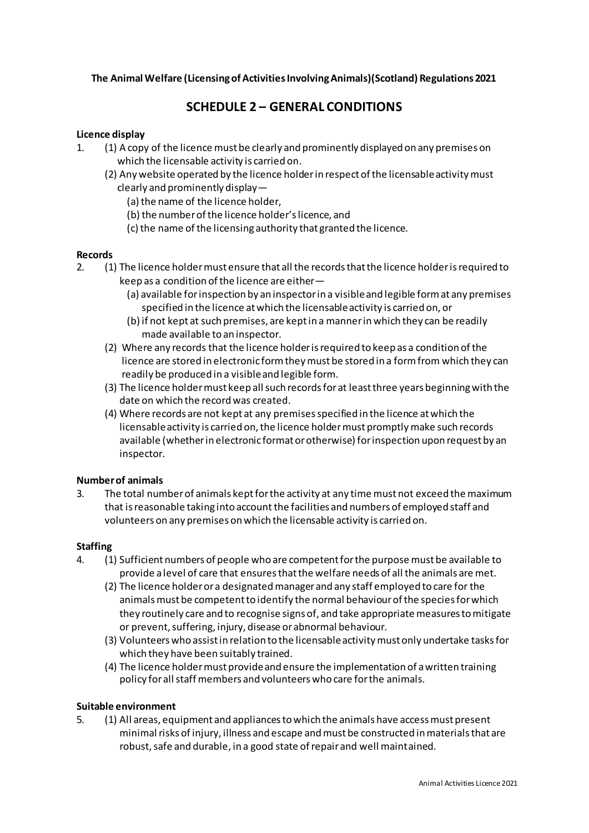## **The Animal Welfare (Licensing of Activities Involving Animals)(Scotland) Regulations 2021**

# **SCHEDULE 2 – GENERAL CONDITIONS**

## **Licence display**

- 1. (1) A copy of the licence must be clearly and prominently displayed on any premises on which the licensable activity is carried on.
	- (2) Any website operated by the licence holder in respect of the licensable activity must clearly and prominently display—
		- (a) the name of the licence holder,
		- (b) the number of the licence holder's licence, and
		- (c) the name of the licensing authority that granted the licence.

#### **Records**

- 2. (1) The licence holder must ensure that all the records that the licence holder is required to keep as a condition of the licence are either—
	- (a) available for inspection by an inspector in a visible and legible form at any premises specified in the licence at which the licensable activity is carried on, or
	- (b) if not kept at such premises, are kept in a manner in which they can be readily made available to an inspector.
	- (2) Where any records that the licence holder is required to keep as a condition of the licence are stored in electronic form they must be stored in a form from which they can readily be produced in a visible and legible form.
	- (3) The licence holder must keep all such records for at least three years beginning with the date on which the record was created.
	- (4) Where records are not kept at any premises specified in the licence at which the licensable activity is carried on, the licence holder must promptly make such records available (whether in electronic format or otherwise) for inspection upon request by an inspector.

#### **Number of animals**

3. The total number of animals kept for the activity at any time must not exceed the maximum that is reasonable taking into account the facilities and numbers of employed staff and volunteers on any premises on which the licensable activity is carried on.

#### **Staffing**

- 4. (1) Sufficient numbers of people who are competent for the purpose must be available to provide a level of care that ensures that the welfare needs of all the animals are met.
	- (2) The licence holder or a designated manager and any staff employed to care for the animals must be competent to identify the normal behaviour of the species for which they routinely care and to recognise signs of, and take appropriate measures to mitigate or prevent, suffering, injury, disease or abnormal behaviour.
	- (3) Volunteers who assist in relation to the licensable activity must only undertake tasks for which they have been suitably trained.
	- (4) The licence holder must provide and ensure the implementation of a written training policy for all staff members and volunteers who care for the animals.

#### **Suitable environment**

5. (1) All areas, equipment and appliances to which the animals have access must present minimal risks of injury, illness and escape and must be constructed in materials that are robust, safe and durable, in a good state of repair and well maintained.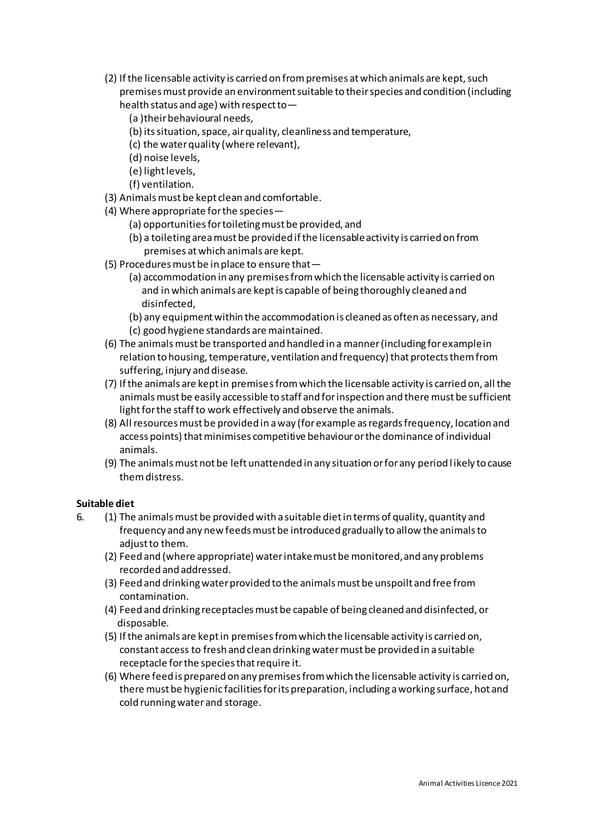- (2) If the licensable activity is carried on from premises at which animals are kept, such premises must provide an environment suitable to their species and condition (including health status and age) with respect to—
	- (a )their behavioural needs,
	- (b) its situation, space, air quality, cleanliness and temperature,
	- (c) the water quality (where relevant),
	- (d) noise levels,
	- (e) light levels,
	- (f) ventilation.
- (3) Animals must be kept clean and comfortable.
- (4) Where appropriate for the species—
	- (a) opportunities for toileting must be provided, and
	- (b) a toileting area must be provided if the licensable activity is carried on from premises at which animals are kept.
- (5) Procedures must be in place to ensure that—
	- (a) accommodation in any premises from which the licensable activity is carried on and in which animals are kept is capable of being thoroughly cleaned and disinfected,
	- (b) any equipment within the accommodation is cleaned as often as necessary, and (c) good hygiene standards are maintained.
- (6) The animals must be transported and handled in a manner (including for example in relation to housing, temperature, ventilation and frequency) that protects them from suffering, injury and disease.
- (7) If the animals are kept in premises from which the licensable activity is carried on, all the animals must be easily accessible to staff and for inspection and there must be sufficient light for the staff to work effectively and observe the animals.
- (8) All resources must be provided in a way (for example as regards frequency, location and access points) that minimises competitive behaviour or the dominance of individual animals.
- (9) The animals must not be left unattended in any situation or for any period l ikely to cause them distress.

# **Suitable diet**

- 6. (1) The animals must be provided with a suitable diet in terms of quality, quantity and frequency and any new feeds must be introduced gradually to allow the animals to adjust to them.
	- (2) Feed and (where appropriate) water intake must be monitored, and any problems recorded and addressed.
	- (3) Feed and drinking water provided to the animals must be unspoilt and free from contamination.
	- (4) Feed and drinking receptacles must be capable of being cleaned and disinfected, or disposable.
	- (5) If the animals are kept in premises from which the licensable activity is carried on, constant access to fresh and clean drinking water must be provided in a suitable receptacle for the species that require it.
	- (6) Where feed is prepared on any premises from which the licensable activity is carried on, there must be hygienic facilities for its preparation, including a working surface, hot and cold running water and storage.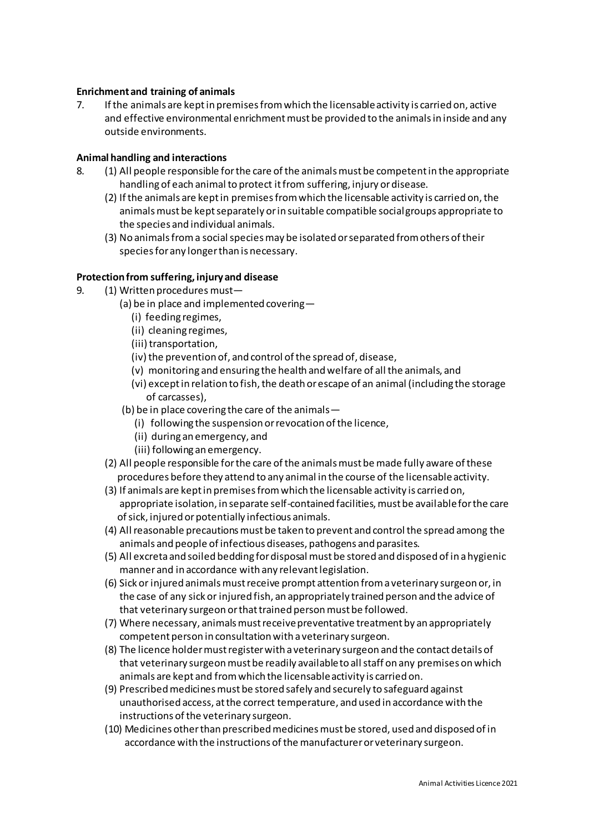## **Enrichment and training of animals**

7. If the animals are kept in premises from which the licensable activity is carried on, active and effective environmental enrichment must be provided to the animals in inside and any outside environments.

#### **Animal handling and interactions**

- 8. (1) All people responsible for the care of the animals must be competent in the appropriate handling of each animal to protect it from suffering, injury or disease.
	- (2) If the animals are kept in premises from which the licensable activity is carried on, the animals must be kept separately or in suitable compatible social groups appropriate to the species and individual animals.
	- (3) No animals from a social species may be isolated or separated from others of their species for any longer than is necessary.

#### **Protection from suffering, injury and disease**

- 9. (1) Written procedures must—
	- (a) be in place and implemented covering—
		- (i) feeding regimes,
		- (ii) cleaning regimes,
		- (iii) transportation,
		- (iv) the prevention of, and control of the spread of, disease,
		- (v) monitoring and ensuring the health and welfare of all the animals, and
		- (vi) except in relation to fish, the death or escape of an animal (including the storage of carcasses),
		- (b) be in place covering the care of the animals—
			- (i) following the suspension or revocation of the licence,
			- (ii) during an emergency, and
			- (iii) following an emergency.
	- (2) All people responsible for the care of the animals must be made fully aware of these procedures before they attend to any animal in the course of the licensable activity.
	- (3) If animals are kept in premises from which the licensable activity is carried on, appropriate isolation, in separate self-contained facilities, must be available for the care of sick, injured or potentially infectious animals.
	- (4) All reasonable precautions must be taken to prevent and control the spread among the animals and people of infectious diseases, pathogens and parasites.
	- (5) All excreta and soiled bedding for disposal must be stored and disposed of in a hygienic manner and in accordance with any relevant legislation.
	- (6) Sick or injured animals must receive prompt attention from a veterinary surgeon or, in the case of any sick or injured fish, an appropriately trained person and the advice of that veterinary surgeon or that trained person must be followed.
	- (7) Where necessary, animals must receive preventative treatment by an appropriately competent person in consultation with a veterinary surgeon.
	- (8) The licence holder must register with a veterinary surgeon and the contact details of that veterinary surgeon must be readily available to all staff on any premises on which animals are kept and from which the licensable activity is carried on.
	- (9) Prescribed medicines must be stored safely and securely to safeguard against unauthorised access, at the correct temperature, and used in accordance with the instructions of the veterinary surgeon.
	- (10) Medicines other than prescribed medicines must be stored, used and disposed of in accordance with the instructions of the manufacturer or veterinary surgeon.